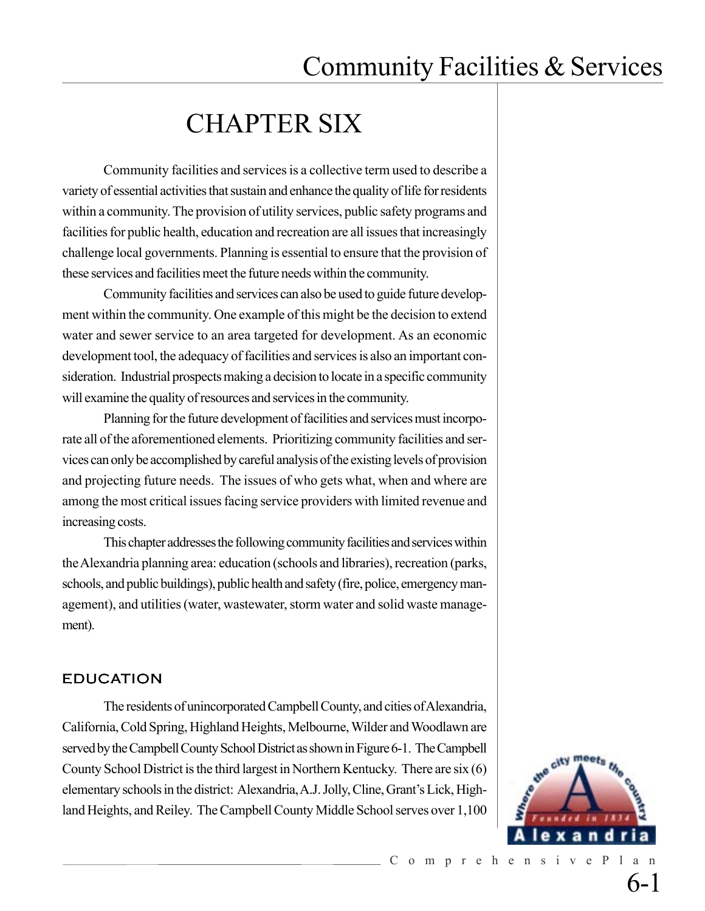## CHAPTER SIX

Community facilities and services is a collective term used to describe a variety of essential activities that sustain and enhance the quality of life for residents within a community. The provision of utility services, public safety programs and facilities for public health, education and recreation are all issues that increasingly challenge local governments. Planning is essential to ensure that the provision of these services and facilities meet the future needs within the community.

Community facilities and services can also be used to guide future development within the community. One example of this might be the decision to extend water and sewer service to an area targeted for development. As an economic development tool, the adequacy of facilities and services is also an important consideration. Industrial prospects making a decision to locate in a specific community will examine the quality of resources and services in the community.

Planning for the future development of facilities and services must incorporate all of the aforementioned elements. Prioritizing community facilities and services can only be accomplished by careful analysis of the existing levels of provision and projecting future needs. The issues of who gets what, when and where are among the most critical issues facing service providers with limited revenue and increasing costs.

This chapter addresses the following community facilities and services within the Alexandria planning area: education (schools and libraries), recreation (parks, schools, and public buildings), public health and safety (fire, police, emergency management), and utilities (water, wastewater, storm water and solid waste management).

### EDUCATION

The residents of unincorporated Campbell County, and cities of Alexandria, California, Cold Spring, Highland Heights, Melbourne, Wilder and Woodlawn are served by the Campbell County School District as shown in Figure 6-1. The Campbell County School District is the third largest in Northern Kentucky. There are six (6) elementary schools in the district: Alexandria, A.J. Jolly, Cline, Grant's Lick, Highland Heights, and Reiley. The Campbell County Middle School serves over 1,100

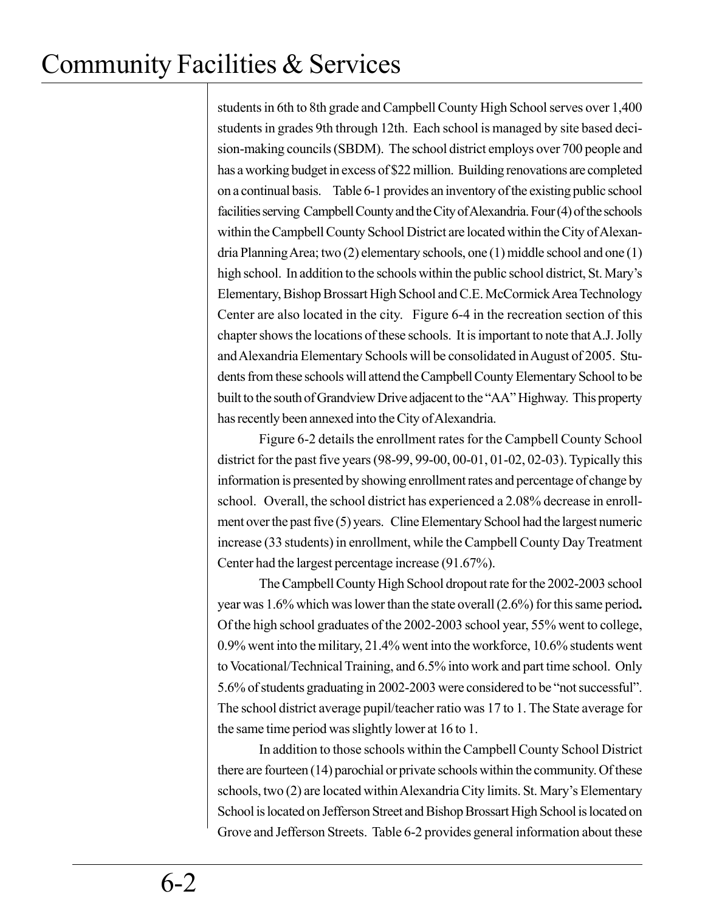students in 6th to 8th grade and Campbell County High School serves over 1,400 students in grades 9th through 12th. Each school is managed by site based decision-making councils (SBDM). The school district employs over 700 people and has a working budget in excess of \$22 million. Building renovations are completed on a continual basis. Table 6-1 provides an inventory of the existing public school facilities serving Campbell County and the City of Alexandria. Four (4) of the schools within the Campbell County School District are located within the City of Alexandria Planning Area; two (2) elementary schools, one (1) middle school and one (1) high school. In addition to the schools within the public school district, St. Mary's Elementary, Bishop Brossart High School and C.E. McCormick Area Technology Center are also located in the city. Figure 6-4 in the recreation section of this chapter shows the locations of these schools. It is important to note that A.J. Jolly and Alexandria Elementary Schools will be consolidated in August of 2005. Students from these schools will attend the Campbell County Elementary School to be built to the south of Grandview Drive adjacent to the "AA" Highway. This property has recently been annexed into the City of Alexandria.

Figure 6-2 details the enrollment rates for the Campbell County School district for the past five years (98-99, 99-00, 00-01, 01-02, 02-03). Typically this information is presented by showing enrollment rates and percentage of change by school. Overall, the school district has experienced a 2.08% decrease in enrollment over the past five (5) years. Cline Elementary School had the largest numeric increase (33 students) in enrollment, while the Campbell County Day Treatment Center had the largest percentage increase (91.67%).

The Campbell County High School dropout rate for the 2002-2003 school year was 1.6% which was lower than the state overall (2.6%) for this same period**.** Of the high school graduates of the 2002-2003 school year, 55% went to college, 0.9% went into the military, 21.4% went into the workforce, 10.6% students went to Vocational/Technical Training, and 6.5% into work and part time school. Only 5.6% of students graduating in 2002-2003 were considered to be "not successful". The school district average pupil/teacher ratio was 17 to 1. The State average for the same time period was slightly lower at 16 to 1.

In addition to those schools within the Campbell County School District there are fourteen (14) parochial or private schools within the community. Of these schools, two (2) are located within Alexandria City limits. St. Mary's Elementary School is located on Jefferson Street and Bishop Brossart High School is located on Grove and Jefferson Streets. Table 6-2 provides general information about these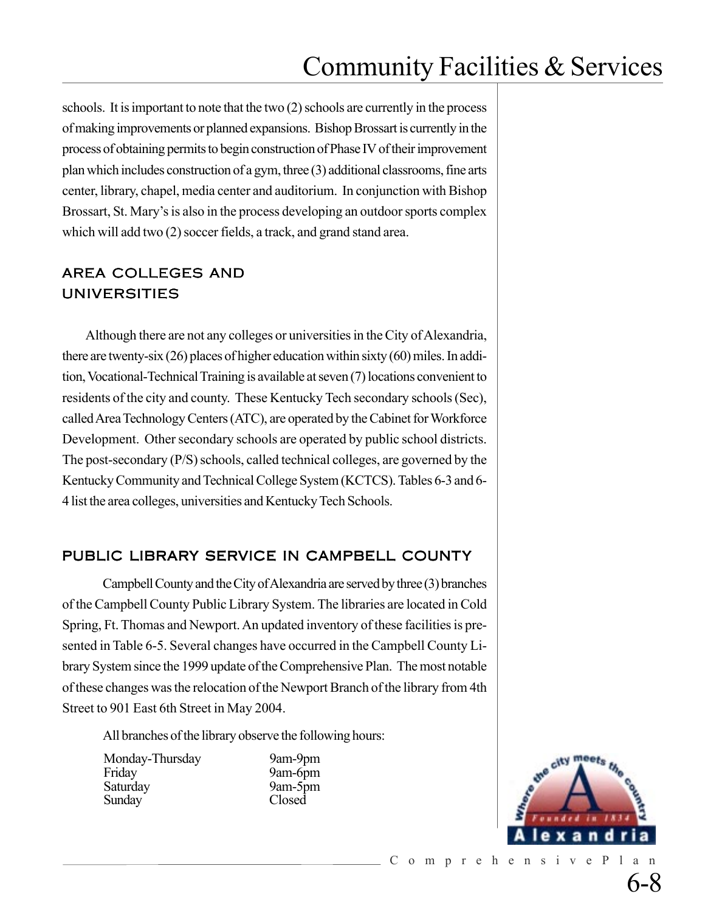schools. It is important to note that the two (2) schools are currently in the process of making improvements or planned expansions. Bishop Brossart is currently in the process of obtaining permits to begin construction of Phase IV of their improvement plan which includes construction of a gym, three (3) additional classrooms, fine arts center, library, chapel, media center and auditorium. In conjunction with Bishop Brossart, St. Mary's is also in the process developing an outdoor sports complex which will add two (2) soccer fields, a track, and grand stand area.

### AREA COLLEGES AND UNIVERSITIES

Although there are not any colleges or universities in the City of Alexandria, there are twenty-six (26) places of higher education within sixty (60) miles. In addition, Vocational-Technical Training is available at seven (7) locations convenient to residents of the city and county. These Kentucky Tech secondary schools (Sec), called Area Technology Centers (ATC), are operated by the Cabinet for Workforce Development. Other secondary schools are operated by public school districts. The post-secondary (P/S) schools, called technical colleges, are governed by the Kentucky Community and Technical College System (KCTCS). Tables 6-3 and 6- 4 list the area colleges, universities and Kentucky Tech Schools.

### PUBLIC LIBRARY SERVICE IN CAMPBELL COUNTY

Campbell County and the City of Alexandria are served by three (3) branches of the Campbell County Public Library System. The libraries are located in Cold Spring, Ft. Thomas and Newport. An updated inventory of these facilities is presented in Table 6-5. Several changes have occurred in the Campbell County Library System since the 1999 update of the Comprehensive Plan. The most notable of these changes was the relocation of the Newport Branch of the library from 4th Street to 901 East 6th Street in May 2004.

All branches of the library observe the following hours:

Monday-Thursday 9am-9pm Friday 9am-6pm Saturday 9am-5pm Sunday Closed

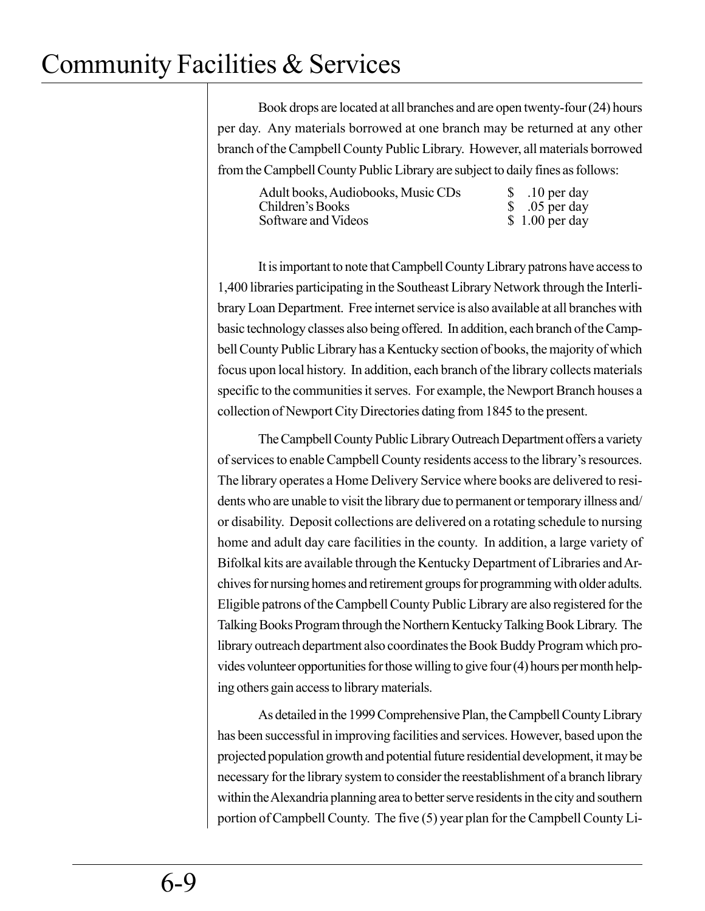Book drops are located at all branches and are open twenty-four (24) hours per day. Any materials borrowed at one branch may be returned at any other branch of the Campbell County Public Library. However, all materials borrowed from the Campbell County Public Library are subject to daily fines as follows:

| Adult books, Audiobooks, Music CDs | \$10 per day    |
|------------------------------------|-----------------|
| Children's Books                   | $$.05$ per day  |
| Software and Videos                | $$1.00$ per day |

It is important to note that Campbell County Library patrons have access to 1,400 libraries participating in the Southeast Library Network through the Interlibrary Loan Department. Free internet service is also available at all branches with basic technology classes also being offered. In addition, each branch of the Campbell County Public Library has a Kentucky section of books, the majority of which focus upon local history. In addition, each branch of the library collects materials specific to the communities it serves. For example, the Newport Branch houses a collection of Newport City Directories dating from 1845 to the present.

The Campbell County Public Library Outreach Department offers a variety of services to enable Campbell County residents access to the library's resources. The library operates a Home Delivery Service where books are delivered to residents who are unable to visit the library due to permanent or temporary illness and/ or disability. Deposit collections are delivered on a rotating schedule to nursing home and adult day care facilities in the county. In addition, a large variety of Bifolkal kits are available through the Kentucky Department of Libraries and Archives for nursing homes and retirement groups for programming with older adults. Eligible patrons of the Campbell County Public Library are also registered for the Talking Books Program through the Northern Kentucky Talking Book Library. The library outreach department also coordinates the Book Buddy Program which provides volunteer opportunities for those willing to give four (4) hours per month helping others gain access to library materials.

As detailed in the 1999 Comprehensive Plan, the Campbell County Library has been successful in improving facilities and services. However, based upon the projected population growth and potential future residential development, it may be necessary for the library system to consider the reestablishment of a branch library within the Alexandria planning area to better serve residents in the city and southern portion of Campbell County. The five (5) year plan for the Campbell County Li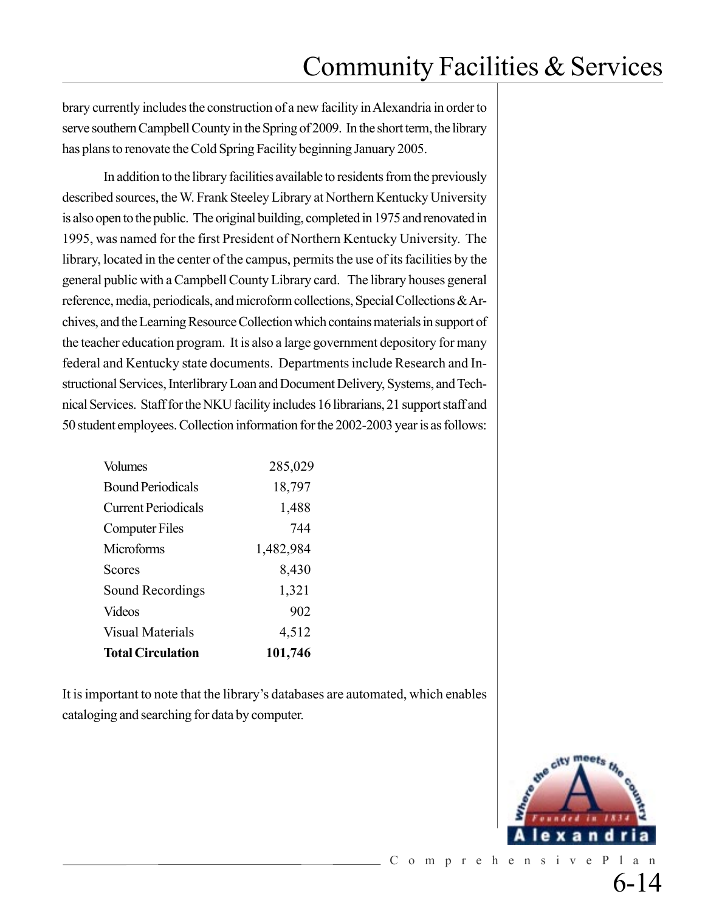brary currently includes the construction of a new facility in Alexandria in order to serve southern Campbell County in the Spring of 2009. In the short term, the library has plans to renovate the Cold Spring Facility beginning January 2005.

In addition to the library facilities available to residents from the previously described sources, the W. Frank Steeley Library at Northern Kentucky University is also open to the public. The original building, completed in 1975 and renovated in 1995, was named for the first President of Northern Kentucky University. The library, located in the center of the campus, permits the use of its facilities by the general public with a Campbell County Library card. The library houses general reference, media, periodicals, and microform collections, Special Collections & Archives, and the Learning Resource Collection which contains materials in support of the teacher education program. It is also a large government depository for many federal and Kentucky state documents. Departments include Research and Instructional Services, Interlibrary Loan and Document Delivery, Systems, and Technical Services. Staff for the NKU facility includes 16 librarians, 21 supportstaff and 50 student employees.Collection information for the 2002-2003 year is as follows:

| <b>Volumes</b>             | 285,029   |
|----------------------------|-----------|
| <b>Bound Periodicals</b>   | 18,797    |
| <b>Current Periodicals</b> | 1,488     |
| <b>Computer Files</b>      | 744       |
| Microforms                 | 1,482,984 |
| Scores                     | 8,430     |
| Sound Recordings           | 1,321     |
| <b>Videos</b>              | 902       |
| <b>Visual Materials</b>    | 4,512     |
| <b>Total Circulation</b>   | 101,746   |

It is important to note that the library's databases are automated, which enables cataloging and searching for data by computer.



6-14

ComprehensivePlan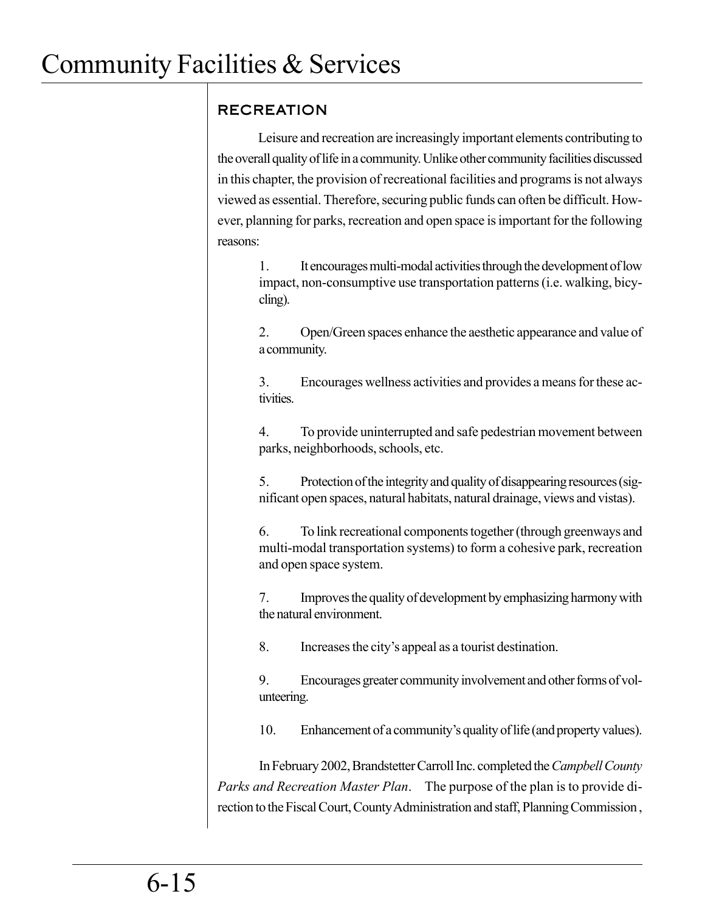## RECREATION

Leisure and recreation are increasingly important elements contributing to the overall quality of life in a community. Unlike other community facilities discussed in this chapter, the provision of recreational facilities and programs is not always viewed as essential. Therefore, securing public funds can often be difficult. However, planning for parks, recreation and open space is important for the following reasons:

1. It encourages multi-modal activities through the development of low impact, non-consumptive use transportation patterns (i.e. walking, bicycling).

2. Open/Green spaces enhance the aesthetic appearance and value of a community.

3. Encourages wellness activities and provides a means for these activities.

4. To provide uninterrupted and safe pedestrian movement between parks, neighborhoods, schools, etc.

5. Protection of the integrity and quality of disappearing resources (significant open spaces, natural habitats, natural drainage, views and vistas).

6. To link recreational components together (through greenways and multi-modal transportation systems) to form a cohesive park, recreation and open space system.

7. Improves the quality of development by emphasizing harmony with the natural environment.

8. Increases the city's appeal as a tourist destination.

9. Encourages greater community involvement and other forms of volunteering.

10. Enhancement of a community's quality of life (and property values).

In February 2002, Brandstetter Carroll Inc. completed the *Campbell County Parks and Recreation Master Plan*. The purpose of the plan is to provide direction to the Fiscal Court, County Administration and staff, Planning Commission ,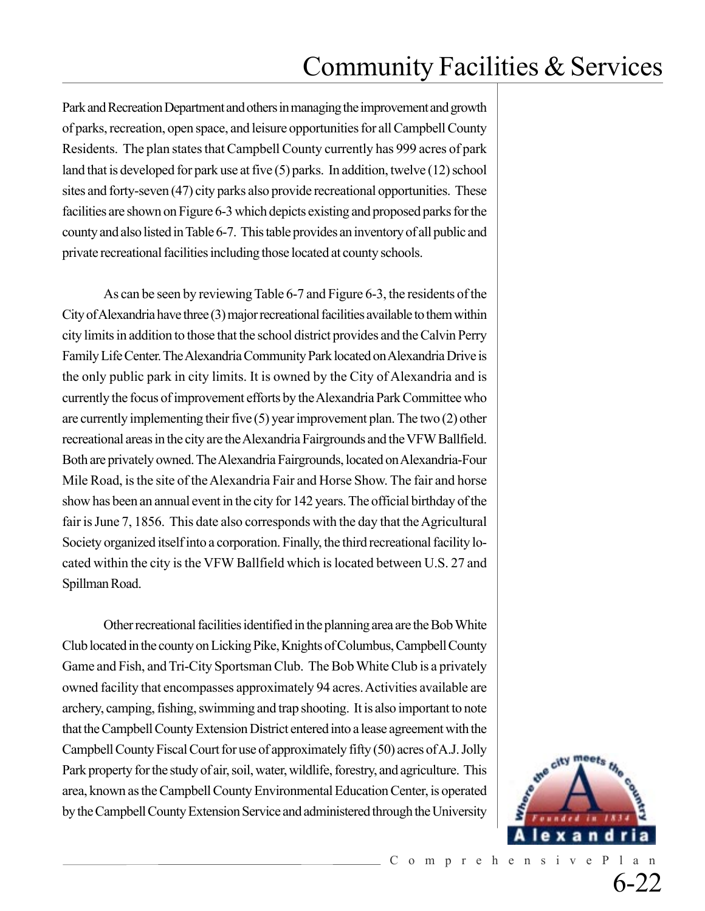Park and Recreation Department and others in managing the improvement and growth of parks, recreation, open space, and leisure opportunities for all Campbell County Residents. The plan states that Campbell County currently has 999 acres of park land that is developed for park use at five (5) parks. In addition, twelve (12) school sites and forty-seven (47) city parks also provide recreational opportunities. These facilities are shown on Figure 6-3 which depicts existing and proposed parks for the county and also listed in Table 6-7. This table provides an inventory of all public and private recreational facilities including those located at county schools.

As can be seen by reviewing Table 6-7 and Figure 6-3, the residents of the City of Alexandria have three (3) major recreational facilities available to them within city limits in addition to those that the school district provides and the Calvin Perry Family Life Center. The Alexandria Community Park located on Alexandria Drive is the only public park in city limits. It is owned by the City of Alexandria and is currently the focus of improvement efforts by the Alexandria Park Committee who are currently implementing their five (5) year improvement plan. The two (2) other recreational areas in the city are the Alexandria Fairgrounds and the VFW Ballfield. Both are privately owned. The Alexandria Fairgrounds, located on Alexandria-Four Mile Road, is the site of the Alexandria Fair and Horse Show. The fair and horse show has been an annual event in the city for 142 years. The official birthday of the fair is June 7, 1856. This date also corresponds with the day that the Agricultural Society organized itself into a corporation. Finally, the third recreational facility located within the city is the VFW Ballfield which is located between U.S. 27 and Spillman Road.

Other recreational facilities identified in the planning area are the Bob White Club located in the county on Licking Pike, Knights of Columbus, Campbell County Game and Fish, and Tri-City Sportsman Club. The Bob White Club is a privately owned facility that encompasses approximately 94 acres. Activities available are archery, camping, fishing, swimming and trap shooting. It is also important to note that the Campbell County Extension District entered into a lease agreement with the Campbell County Fiscal Court for use of approximately fifty (50) acres of A.J. Jolly Park property for the study of air, soil, water, wildlife, forestry, and agriculture. This area, known as the Campbell County Environmental Education Center, is operated by the Campbell County Extension Service and administered through the University

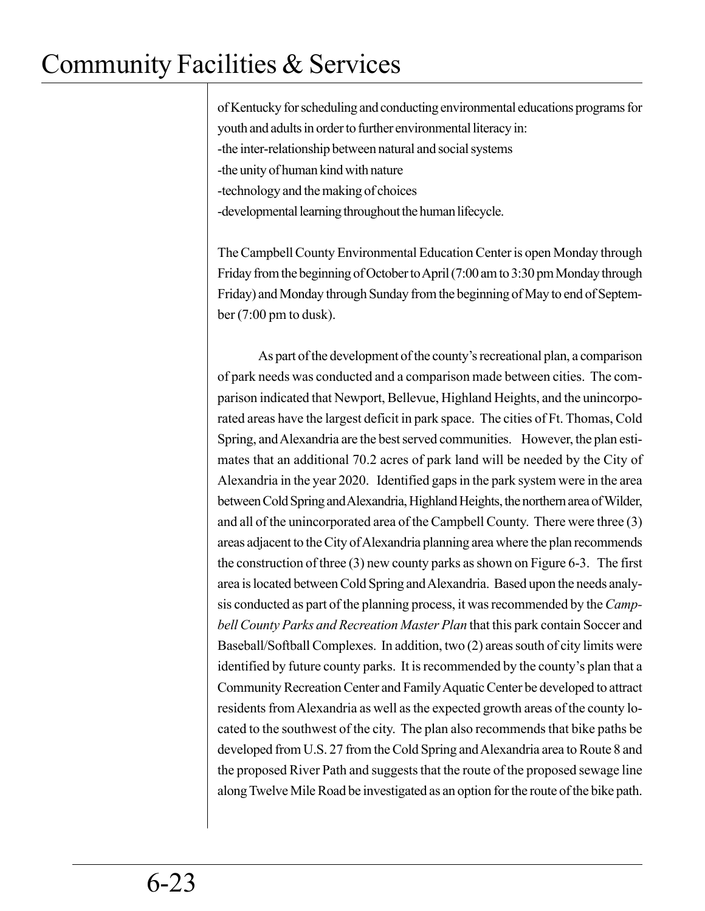of Kentucky for scheduling and conducting environmental educations programs for youth and adults in order to further environmental literacy in: -the inter-relationship between natural and social systems -the unity of human kind with nature -technology and the making of choices -developmental learning throughout the human lifecycle.

The Campbell County Environmental Education Center is open Monday through Friday from the beginning of October to April (7:00 am to 3:30 pm Monday through Friday) and Monday through Sunday from the beginning of May to end of September (7:00 pm to dusk).

As part of the development of the county's recreational plan, a comparison of park needs was conducted and a comparison made between cities. The comparison indicated that Newport, Bellevue, Highland Heights, and the unincorporated areas have the largest deficit in park space. The cities of Ft. Thomas, Cold Spring, and Alexandria are the best served communities. However, the plan estimates that an additional 70.2 acres of park land will be needed by the City of Alexandria in the year 2020. Identified gaps in the park system were in the area between Cold Spring and Alexandria, Highland Heights, the northern area of Wilder, and all of the unincorporated area of the Campbell County. There were three (3) areas adjacent to the City of Alexandria planning area where the plan recommends the construction of three (3) new county parks as shown on Figure 6-3. The first area is located between Cold Spring and Alexandria. Based upon the needs analysis conducted as part of the planning process, it was recommended by the *Campbell County Parks and Recreation Master Plan* that this park contain Soccer and Baseball/Softball Complexes. In addition, two (2) areas south of city limits were identified by future county parks. It is recommended by the county's plan that a Community Recreation Center and Family Aquatic Center be developed to attract residents from Alexandria as well as the expected growth areas of the county located to the southwest of the city. The plan also recommends that bike paths be developed from U.S. 27 from the Cold Spring and Alexandria area to Route 8 and the proposed River Path and suggests that the route of the proposed sewage line along Twelve Mile Road be investigated as an option for the route of the bike path.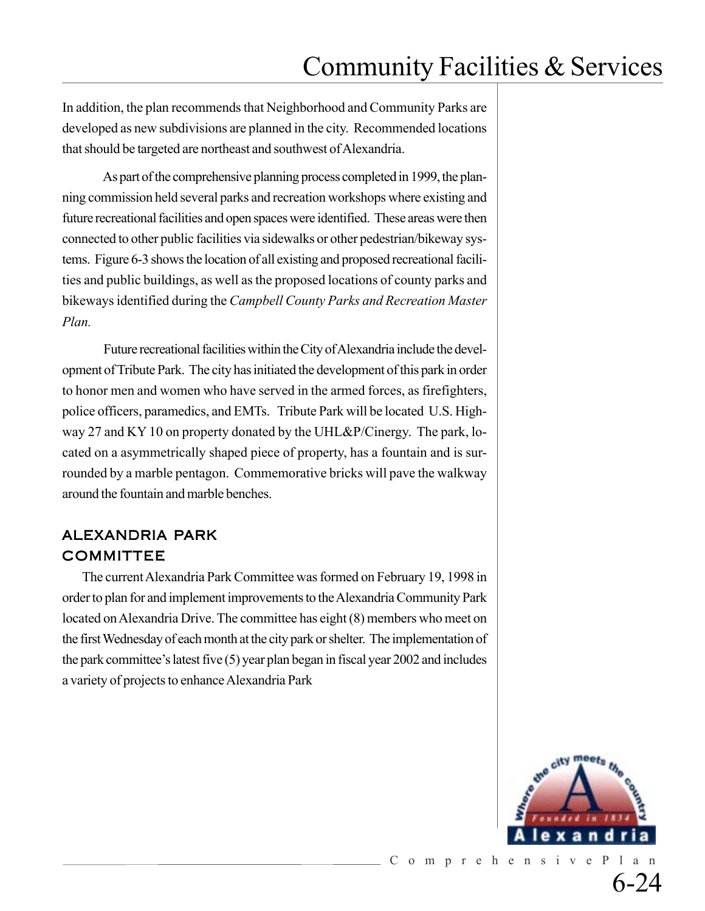In addition, the plan recommends that Neighborhood and Community Parks are developed as new subdivisions are planned in the city. Recommended locations that should be targeted are northeast and southwest of Alexandria.

As part of the comprehensive planning process completed in 1999, the planning commission held several parks and recreation workshops where existing and future recreational facilities and open spaces were identified. These areas were then connected to other public facilities via sidewalks or other pedestrian/bikeway systems. Figure 6-3 shows the location of all existing and proposed recreational facilities and public buildings, as well as the proposed locations of county parks and bikeways identified during the *Campbell County Parks and Recreation Master Plan.*

Future recreational facilities within the City of Alexandria include the development of Tribute Park. The city has initiated the development of this park in order to honor men and women who have served in the armed forces, as firefighters, police officers, paramedics, and EMTs. Tribute Park will be located U.S. Highway 27 and KY 10 on property donated by the UHL&P/Cinergy. The park, located on a asymmetrically shaped piece of property, has a fountain and is surrounded by a marble pentagon. Commemorative bricks will pave the walkway around the fountain and marble benches.

### ALEXANDRIA PARK COMMITTEE

The current Alexandria Park Committee was formed on February 19, 1998 in order to plan for and implement improvements to the Alexandria Community Park located on Alexandria Drive. The committee has eight (8) members who meet on the first Wednesday of each month at the city park or shelter. The implementation of the park committee's latest five (5) year plan began in fiscal year 2002 and includes a variety of projects to enhance Alexandria Park

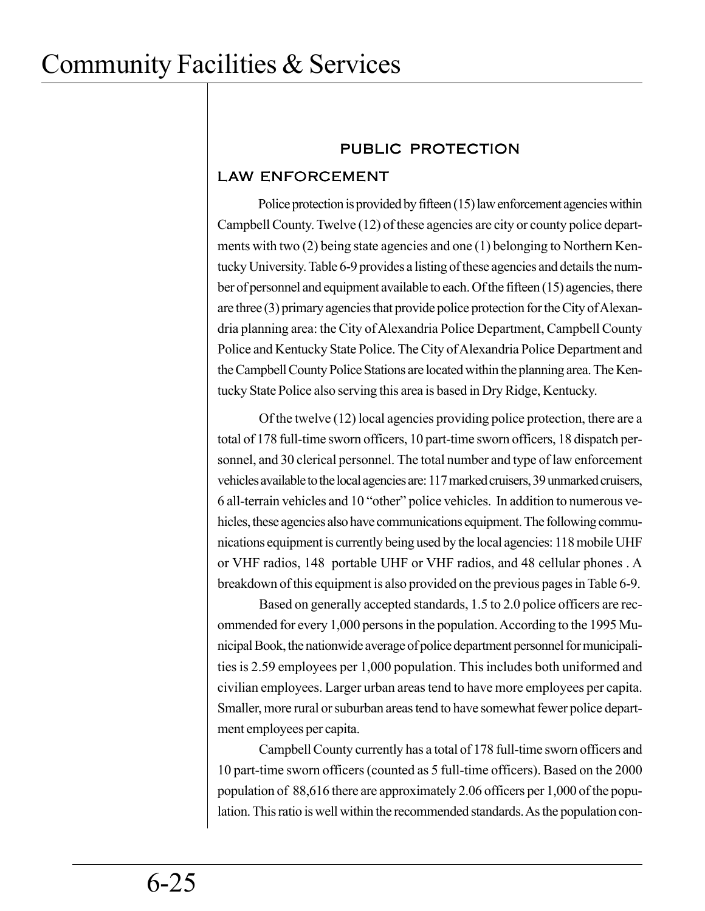### PUBLIC PROTECTION

### LAW ENFORCEMENT

Police protection is provided by fifteen (15) law enforcement agencies within Campbell County. Twelve (12) of these agencies are city or county police departments with two (2) being state agencies and one (1) belonging to Northern Kentucky University. Table 6-9 provides a listing of these agencies and details the number of personnel and equipment available to each. Of the fifteen (15) agencies, there are three (3) primary agencies that provide police protection for the City of Alexandria planning area: the City of Alexandria Police Department, Campbell County Police and Kentucky State Police. The City of Alexandria Police Department and the Campbell County Police Stations are located within the planning area. The Kentucky State Police also serving this area is based in Dry Ridge, Kentucky.

Of the twelve (12) local agencies providing police protection, there are a total of 178 full-time sworn officers, 10 part-time sworn officers, 18 dispatch personnel, and 30 clerical personnel. The total number and type of law enforcement vehicles available to the local agencies are: 117 marked cruisers, 39 unmarked cruisers, 6 all-terrain vehicles and 10 "other" police vehicles. In addition to numerous vehicles, these agencies also have communications equipment. The following communications equipment is currently being used by the local agencies: 118 mobile UHF or VHF radios, 148 portable UHF or VHF radios, and 48 cellular phones . A breakdown of this equipment is also provided on the previous pages in Table 6-9.

Based on generally accepted standards, 1.5 to 2.0 police officers are recommended for every 1,000 persons in the population. According to the 1995 Municipal Book, the nationwide average of police department personnel for municipalities is 2.59 employees per 1,000 population. This includes both uniformed and civilian employees. Larger urban areas tend to have more employees per capita. Smaller, more rural or suburban areas tend to have somewhat fewer police department employees per capita.

Campbell County currently has a total of 178 full-time sworn officers and 10 part-time sworn officers (counted as 5 full-time officers). Based on the 2000 population of 88,616 there are approximately 2.06 officers per 1,000 of the population. This ratio is well within the recommended standards. As the population con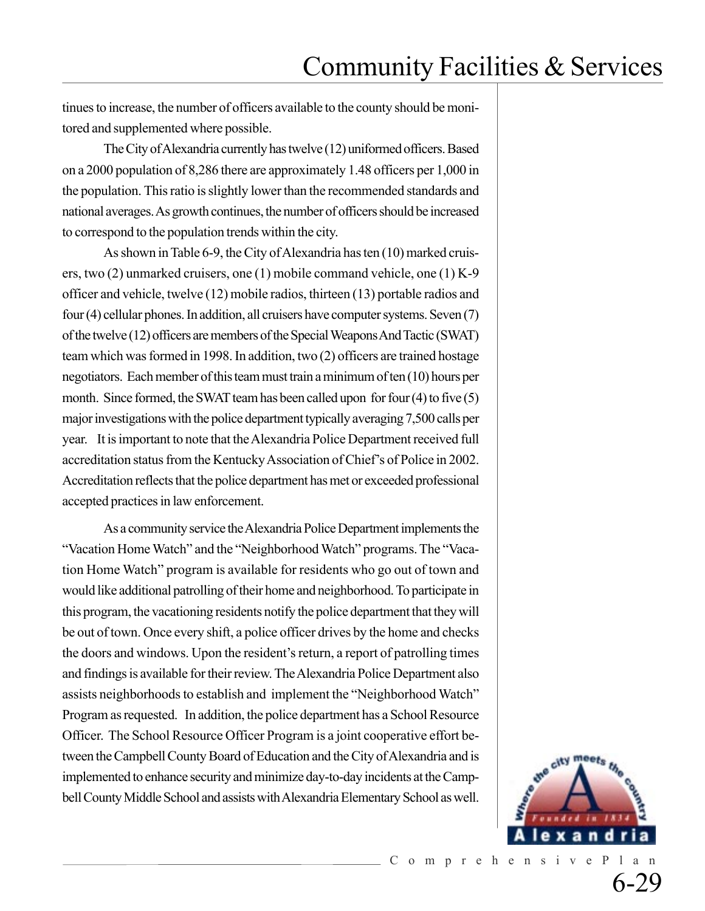tinues to increase, the number of officers available to the county should be monitored and supplemented where possible.

The City of Alexandria currently has twelve (12) uniformed officers. Based on a 2000 population of 8,286 there are approximately 1.48 officers per 1,000 in the population. This ratio is slightly lower than the recommended standards and national averages. As growth continues, the number of officers should be increased to correspond to the population trends within the city.

As shown in Table 6-9, the City of Alexandria has ten (10) marked cruisers, two (2) unmarked cruisers, one (1) mobile command vehicle, one (1) K-9 officer and vehicle, twelve (12) mobile radios, thirteen (13) portable radios and four (4) cellular phones. In addition, all cruisers have computer systems. Seven (7) of the twelve (12) officers are members of the Special Weapons And Tactic (SWAT) team which was formed in 1998. In addition, two (2) officers are trained hostage negotiators. Each member of this team must train a minimum of ten (10) hours per month. Since formed, the SWAT team has been called upon for four (4) to five (5) major investigations with the police department typically averaging 7,500 calls per year. It is important to note that the Alexandria Police Department received full accreditation status from the Kentucky Association of Chief's of Police in 2002. Accreditation reflects that the police department has met or exceeded professional accepted practices in law enforcement.

As a community service the Alexandria Police Department implements the "Vacation Home Watch" and the "Neighborhood Watch" programs. The "Vacation Home Watch" program is available for residents who go out of town and would like additional patrolling of their home and neighborhood. To participate in this program, the vacationing residents notify the police department that they will be out of town. Once every shift, a police officer drives by the home and checks the doors and windows. Upon the resident's return, a report of patrolling times and findings is available for their review. The Alexandria Police Department also assists neighborhoods to establish and implement the "Neighborhood Watch" Program as requested. In addition, the police department has a School Resource Officer. The School Resource Officer Program is a joint cooperative effort between the Campbell County Board of Education and the City of Alexandria and is implemented to enhance security and minimize day-to-day incidents at the Campbell County Middle School and assists with Alexandria Elementary School as well.

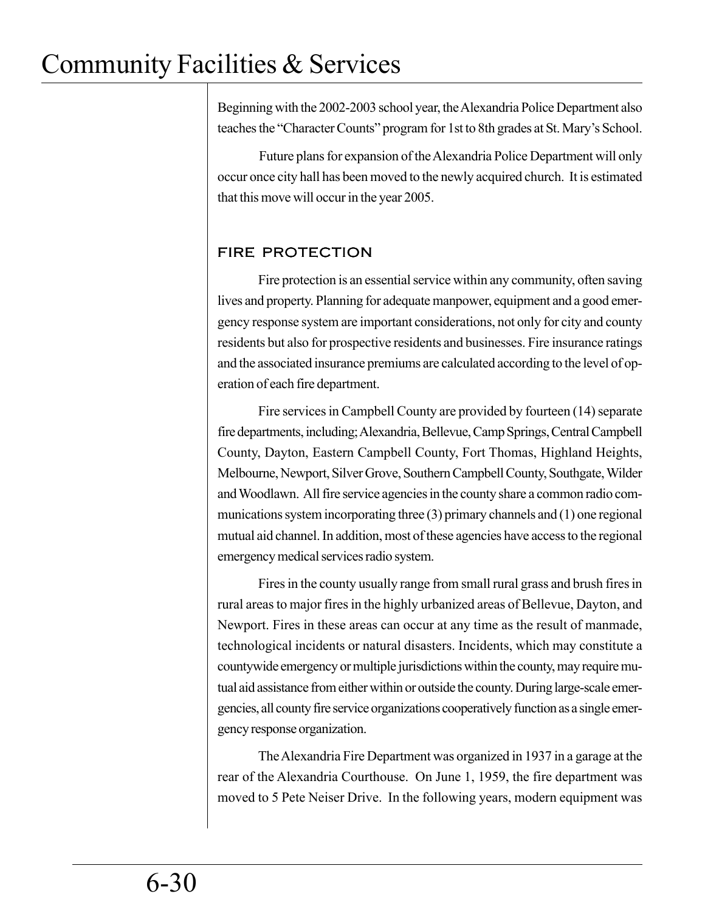Beginning with the 2002-2003 school year, the Alexandria Police Department also teaches the "Character Counts" program for 1st to 8th grades at St. Mary's School.

Future plans for expansion of the Alexandria Police Department will only occur once city hall has been moved to the newly acquired church. It is estimated that this move will occur in the year 2005.

### FIRE PROTECTION

Fire protection is an essential service within any community, often saving lives and property. Planning for adequate manpower, equipment and a good emergency response system are important considerations, not only for city and county residents but also for prospective residents and businesses. Fire insurance ratings and the associated insurance premiums are calculated according to the level of operation of each fire department.

Fire services in Campbell County are provided by fourteen (14) separate fire departments, including; Alexandria, Bellevue, Camp Springs, Central Campbell County, Dayton, Eastern Campbell County, Fort Thomas, Highland Heights, Melbourne, Newport, Silver Grove, Southern Campbell County, Southgate, Wilder and Woodlawn. All fire service agencies in the county share a common radio communications system incorporating three (3) primary channels and (1) one regional mutual aid channel. In addition, most of these agencies have access to the regional emergency medical services radio system.

Fires in the county usually range from small rural grass and brush fires in rural areas to major fires in the highly urbanized areas of Bellevue, Dayton, and Newport. Fires in these areas can occur at any time as the result of manmade, technological incidents or natural disasters. Incidents, which may constitute a countywide emergency or multiple jurisdictions within the county, may require mutual aid assistance from either within or outside the county. During large-scale emergencies, all county fire service organizations cooperatively function as a single emergency response organization.

The Alexandria Fire Department was organized in 1937 in a garage at the rear of the Alexandria Courthouse. On June 1, 1959, the fire department was moved to 5 Pete Neiser Drive. In the following years, modern equipment was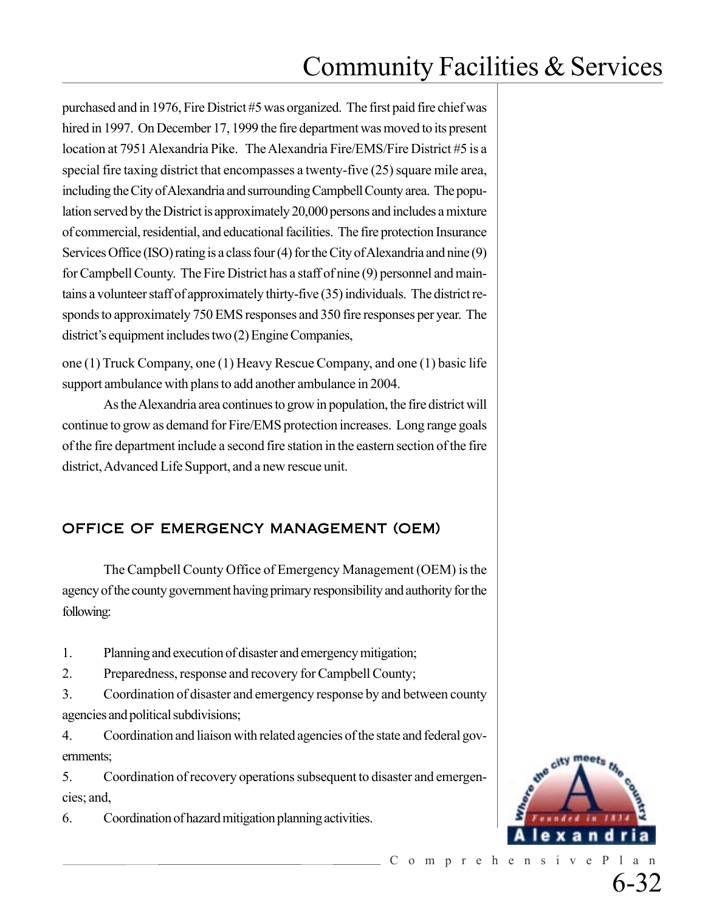purchased and in 1976, Fire District #5 was organized. The first paid fire chief was hired in 1997. On December 17, 1999 the fire department was moved to its present location at 7951 Alexandria Pike. The Alexandria Fire/EMS/Fire District #5 is a special fire taxing district that encompasses a twenty-five (25) square mile area, including the City of Alexandria and surrounding Campbell County area. The population served by the District is approximately 20,000 persons and includes a mixture of commercial, residential, and educational facilities. The fire protection Insurance Services Office (ISO) rating is a class four (4) for the City of Alexandria and nine (9) for Campbell County. The Fire District has a staff of nine (9) personnel and maintains a volunteer staff of approximately thirty-five (35) individuals. The district responds to approximately 750 EMS responses and 350 fire responses per year. The district's equipment includes two (2) Engine Companies,

one (1) Truck Company, one (1) Heavy Rescue Company, and one (1) basic life support ambulance with plans to add another ambulance in 2004.

As the Alexandria area continues to grow in population, the fire district will continue to grow as demand for Fire/EMS protection increases. Long range goals of the fire department include a second fire station in the eastern section of the fire district, Advanced Life Support, and a new rescue unit.

### OFFICE OF EMERGENCY MANAGEMENT (OEM)

The Campbell County Office of Emergency Management (OEM) is the agency of the county government having primary responsibility and authority for the following:

1. Planning and execution of disaster and emergency mitigation;

2. Preparedness, response and recovery for Campbell County;

3. Coordination of disaster and emergency response by and between county agencies and political subdivisions;

4. Coordination and liaison with related agencies of the state and federal governments;

5. Coordination of recovery operations subsequent to disaster and emergencies; and,

6. Coordination of hazard mitigation planning activities.

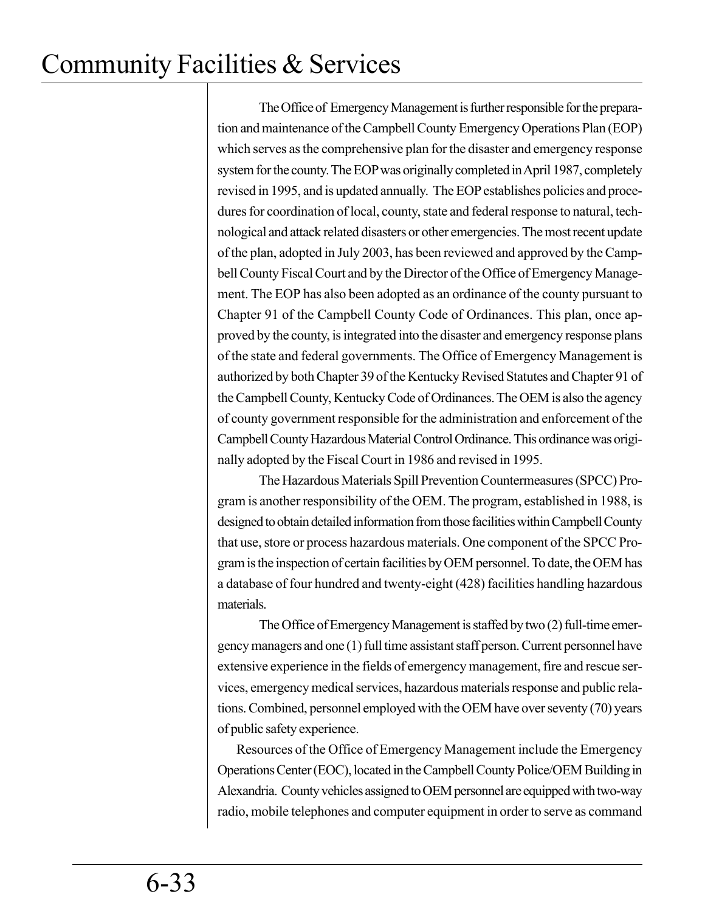The Office of Emergency Management is further responsible forthe preparation and maintenance of the Campbell County Emergency Operations Plan (EOP) which serves as the comprehensive plan for the disaster and emergency response system for the county. The EOP was originally completed in April 1987, completely revised in 1995, and is updated annually. The EOP establishes policies and procedures for coordination of local, county, state and federal response to natural, technological and attack related disasters or other emergencies. The most recent update of the plan, adopted in July 2003, has been reviewed and approved by the Campbell County Fiscal Court and by the Director of the Office of Emergency Management. The EOP has also been adopted as an ordinance of the county pursuant to Chapter 91 of the Campbell County Code of Ordinances. This plan, once approved by the county, is integrated into the disaster and emergency response plans of the state and federal governments. The Office of Emergency Management is authorized by both Chapter 39 of the Kentucky Revised Statutes and Chapter 91 of the Campbell County, Kentucky Code of Ordinances. The OEM is also the agency of county government responsible for the administration and enforcement of the Campbell County Hazardous Material Control Ordinance. This ordinance was originally adopted by the Fiscal Court in 1986 and revised in 1995.

The Hazardous Materials Spill Prevention Countermeasures (SPCC) Program is another responsibility of the OEM. The program, established in 1988, is designed to obtain detailed information from those facilities within Campbell County that use, store or process hazardous materials. One component of the SPCC Program is the inspection of certain facilities by OEM personnel. To date, the OEM has a database of four hundred and twenty-eight (428) facilities handling hazardous materials.

The Office of Emergency Management is staffed by two (2) full-time emergency managers and one (1) full time assistant staff person. Current personnel have extensive experience in the fields of emergency management, fire and rescue services, emergency medical services, hazardous materials response and public relations. Combined, personnel employed with the OEM have over seventy (70) years of public safety experience.

 Resources of the Office of Emergency Management include the Emergency Operations Center (EOC), located in the Campbell County Police/OEM Building in Alexandria. County vehicles assigned to OEM personnel are equipped with two-way radio, mobile telephones and computer equipment in order to serve as command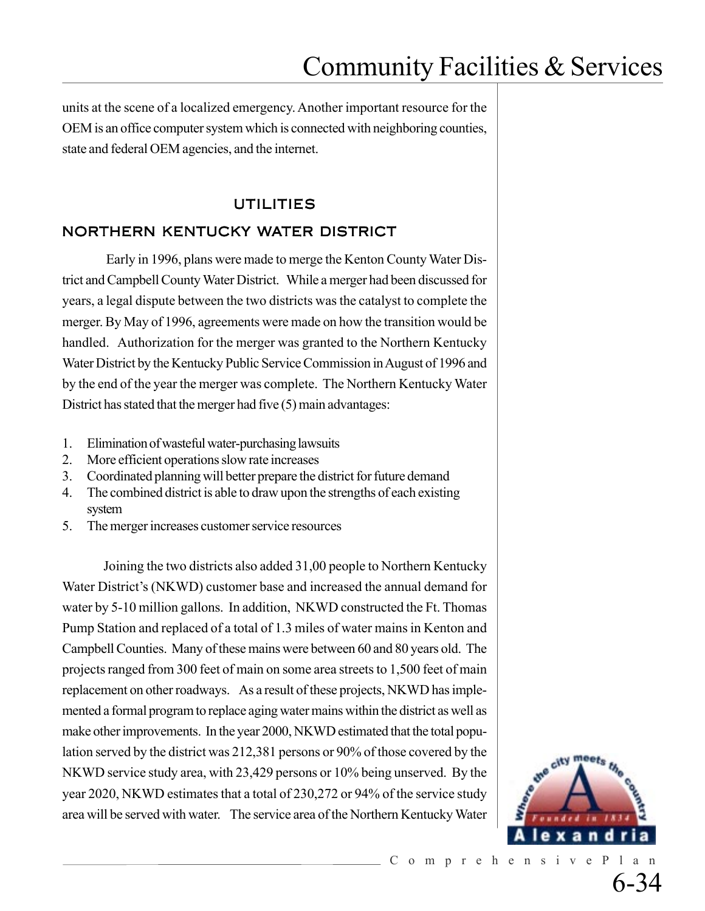units at the scene of a localized emergency. Another important resource for the OEM is an office computer system which is connected with neighboring counties, state and federal OEM agencies, and the internet.

### UTILITIES

### NORTHERN KENTUCKY WATER DISTRICT

 Early in 1996, plans were made to merge the Kenton County Water District and Campbell County Water District. While a merger had been discussed for years, a legal dispute between the two districts was the catalyst to complete the merger. By May of 1996, agreements were made on how the transition would be handled. Authorization for the merger was granted to the Northern Kentucky Water District by the Kentucky Public Service Commission in August of 1996 and by the end of the year the merger was complete. The Northern Kentucky Water District has stated that the merger had five (5) main advantages:

- 1. Elimination of wasteful water-purchasing lawsuits
- 2. More efficient operations slow rate increases
- 3. Coordinated planning will better prepare the district for future demand
- 4. The combined district is able to draw upon the strengths of each existing system
- 5. The merger increases customer service resources

Joining the two districts also added 31,00 people to Northern Kentucky Water District's (NKWD) customer base and increased the annual demand for water by 5-10 million gallons. In addition, NKWD constructed the Ft. Thomas Pump Station and replaced of a total of 1.3 miles of water mains in Kenton and Campbell Counties. Many of these mains were between 60 and 80 years old. The projects ranged from 300 feet of main on some area streets to 1,500 feet of main replacement on other roadways. As a result of these projects, NKWD has implemented a formal program to replace aging water mains within the district as well as make other improvements. In the year 2000, NKWD estimated that the total population served by the district was 212,381 persons or 90% of those covered by the NKWD service study area, with 23,429 persons or 10% being unserved. By the year 2020, NKWD estimates that a total of 230,272 or 94% of the service study area will be served with water. The service area of the Northern Kentucky Water

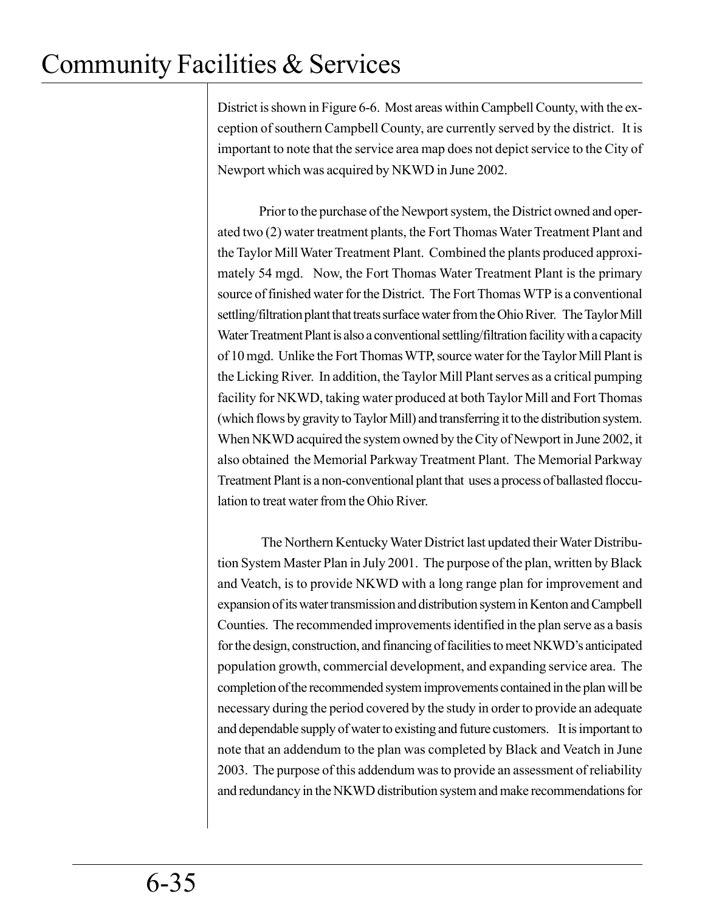District is shown in Figure 6-6. Most areas within Campbell County, with the exception of southern Campbell County, are currently served by the district. It is important to note that the service area map does not depict service to the City of Newport which was acquired by NKWD in June 2002.

Prior to the purchase of the Newport system, the District owned and operated two (2) water treatment plants, the Fort Thomas Water Treatment Plant and the Taylor Mill Water Treatment Plant. Combined the plants produced approximately 54 mgd. Now, the Fort Thomas Water Treatment Plant is the primary source of finished water for the District. The Fort Thomas WTP is a conventional settling/filtration plant that treats surface water from the Ohio River. The Taylor Mill Water Treatment Plant is also a conventional settling/filtration facility with a capacity of 10 mgd. Unlike the Fort Thomas WTP, source water for the Taylor Mill Plant is the Licking River. In addition, the Taylor Mill Plant serves as a critical pumping facility for NKWD, taking water produced at both Taylor Mill and Fort Thomas (which flows by gravity to Taylor Mill) and transferring it to the distribution system. When NKWD acquired the system owned by the City of Newport in June 2002, it also obtained the Memorial Parkway Treatment Plant. The Memorial Parkway Treatment Plant is a non-conventional plant that uses a process of ballasted flocculation to treat water from the Ohio River.

 The Northern Kentucky Water District last updated their Water Distribution System Master Plan in July 2001. The purpose of the plan, written by Black and Veatch, is to provide NKWD with a long range plan for improvement and expansion of its water transmission and distribution system in Kenton and Campbell Counties. The recommended improvements identified in the plan serve as a basis for the design, construction, and financing of facilities to meet NKWD's anticipated population growth, commercial development, and expanding service area. The completion of the recommended system improvements contained in the plan will be necessary during the period covered by the study in order to provide an adequate and dependable supply of water to existing and future customers. It is important to note that an addendum to the plan was completed by Black and Veatch in June 2003. The purpose of this addendum was to provide an assessment of reliability and redundancy in the NKWD distribution system and make recommendations for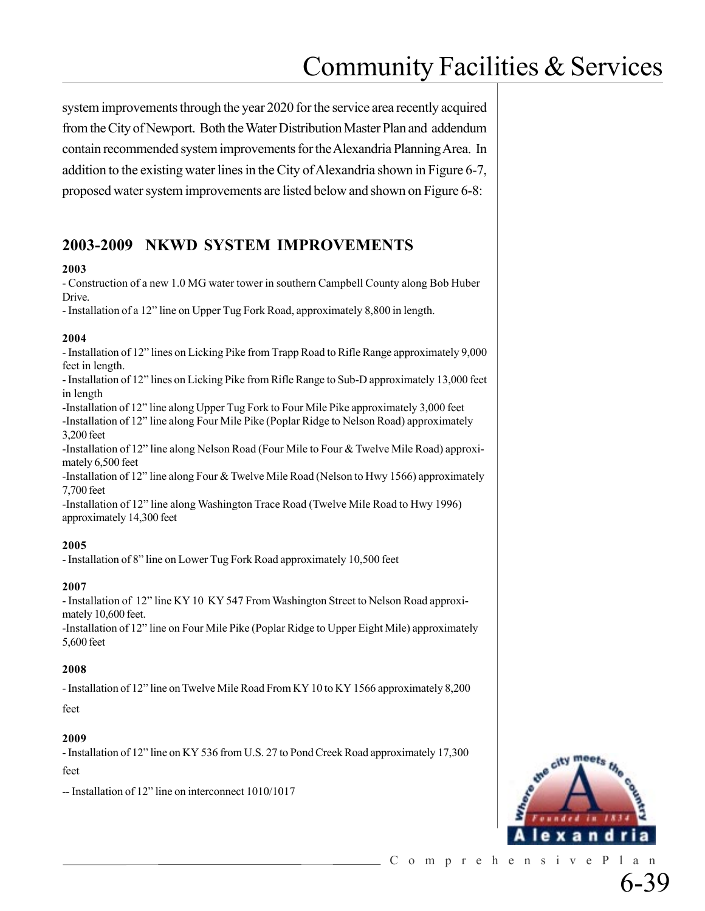system improvements through the year 2020 for the service area recently acquired from the City of Newport. Both the Water Distribution Master Plan and addendum contain recommended system improvements for the Alexandria Planning Area. In addition to the existing water lines in the City of Alexandria shown in Figure 6-7, proposed water system improvements are listed below and shown on Figure 6-8:

## **2003-2009 NKWD SYSTEM IMPROVEMENTS**

#### **2003**

- Construction of a new 1.0 MG water tower in southern Campbell County along Bob Huber Drive.

- Installation of a 12" line on Upper Tug Fork Road, approximately 8,800 in length.

#### **2004**

- Installation of 12" lines on Licking Pike from Trapp Road to Rifle Range approximately 9,000 feet in length.

- Installation of 12" lines on Licking Pike from Rifle Range to Sub-D approximately 13,000 feet in length

-Installation of 12" line along Upper Tug Fork to Four Mile Pike approximately 3,000 feet -Installation of 12" line along Four Mile Pike (Poplar Ridge to Nelson Road) approximately 3,200 feet

-Installation of 12" line along Nelson Road (Four Mile to Four & Twelve Mile Road) approximately 6,500 feet

-Installation of 12" line along Four & Twelve Mile Road (Nelson to Hwy 1566) approximately 7,700 feet

-Installation of 12" line along Washington Trace Road (Twelve Mile Road to Hwy 1996) approximately 14,300 feet

#### **2005**

- Installation of 8" line on Lower Tug Fork Road approximately 10,500 feet

#### **2007**

- Installation of 12" line KY 10 KY 547 From Washington Street to Nelson Road approximately 10,600 feet.

-Installation of 12" line on Four Mile Pike (Poplar Ridge to Upper Eight Mile) approximately 5,600 feet

#### **2008**

- Installation of 12" line on Twelve Mile Road From KY 10 to KY 1566 approximately 8,200

feet

#### **2009**

- Installation of 12" line on KY 536 from U.S. 27 to Pond Creek Road approximately 17,300 feet

-- Installation of 12" line on interconnect 1010/1017

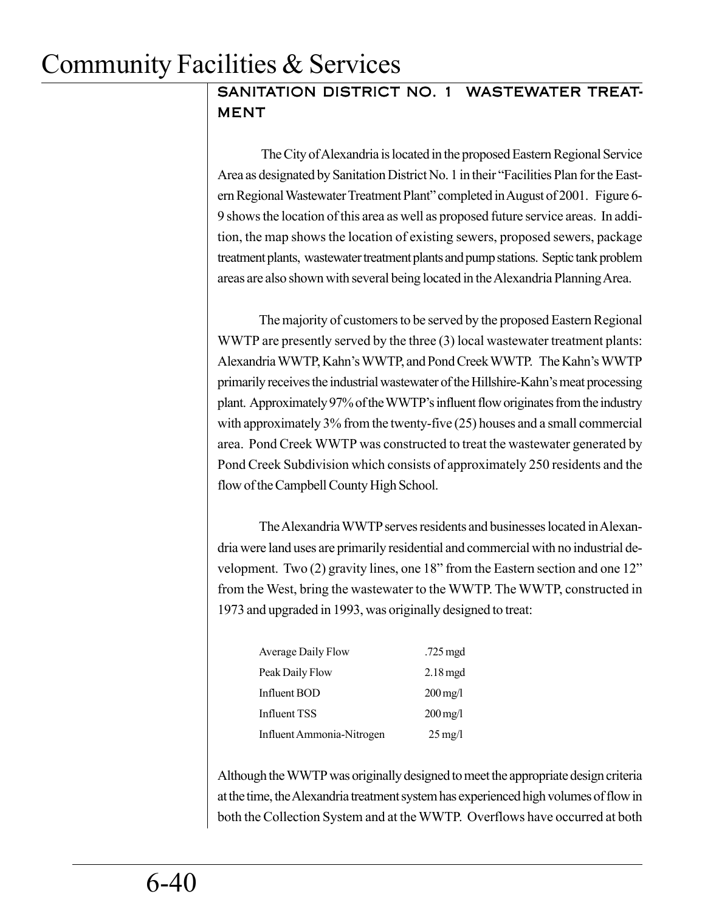## SANITATION DISTRICT NO. 1 WASTEWATER TREAT-MENT

 The City of Alexandria is located in the proposed Eastern Regional Service Area as designated by Sanitation District No. 1 in their "Facilities Plan for the Eastern Regional Wastewater Treatment Plant" completed in August of 2001. Figure 6- 9 shows the location of this area as well as proposed future service areas. In addition, the map shows the location of existing sewers, proposed sewers, package treatment plants, wastewater treatment plants and pump stations. Septic tank problem areas are also shown with several being located in the Alexandria Planning Area.

The majority of customers to be served by the proposed Eastern Regional WWTP are presently served by the three (3) local wastewater treatment plants: Alexandria WWTP, Kahn's WWTP, and Pond Creek WWTP. The Kahn's WWTP primarily receives the industrial wastewater of the Hillshire-Kahn's meat processing plant. Approximately 97% of the WWTP's influent flow originates from the industry with approximately 3% from the twenty-five (25) houses and a small commercial area. Pond Creek WWTP was constructed to treat the wastewater generated by Pond Creek Subdivision which consists of approximately 250 residents and the flow of the Campbell County High School.

The Alexandria WWTP serves residents and businesses located in Alexandria were land uses are primarily residential and commercial with no industrial development. Two (2) gravity lines, one 18" from the Eastern section and one 12" from the West, bring the wastewater to the WWTP. The WWTP, constructed in 1973 and upgraded in 1993, was originally designed to treat:

| Average Daily Flow        | .725 mgd              |
|---------------------------|-----------------------|
| Peak Daily Flow           | $2.18 \text{ mgd}$    |
| Influent BOD              | $200 \,\mathrm{mg}/l$ |
| Influent TSS              | $200 \,\mathrm{mg}/l$ |
| Influent Ammonia-Nitrogen | $25 \,\mathrm{mg}/l$  |

Although the WWTP was originally designed to meet the appropriate design criteria at the time, the Alexandria treatment system has experienced high volumes of flow in both the Collection System and at the WWTP. Overflows have occurred at both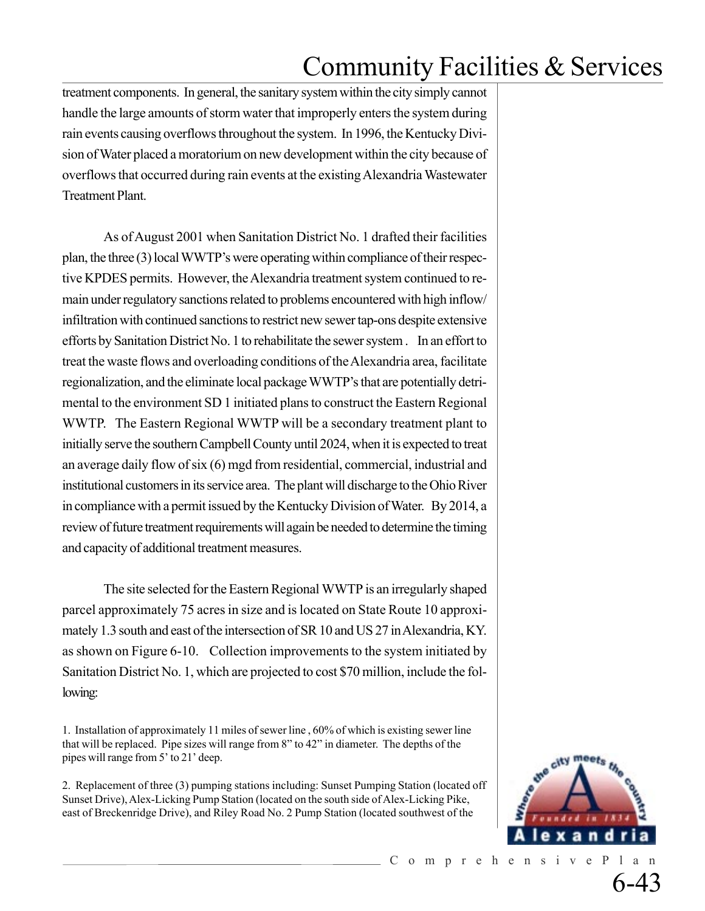treatment components. In general, the sanitary system within the city simply cannot handle the large amounts of storm water that improperly enters the system during rain events causing overflows throughout the system. In 1996, the Kentucky Division of Water placed a moratorium on new development within the city because of overflows that occurred during rain events at the existing Alexandria Wastewater Treatment Plant.

As of August 2001 when Sanitation District No. 1 drafted their facilities plan, the three (3) local WWTP's were operating within compliance of their respective KPDES permits. However, the Alexandria treatment system continued to remain under regulatory sanctions related to problems encountered with high inflow/ infiltration with continued sanctions to restrict new sewer tap-ons despite extensive efforts by Sanitation District No. 1 to rehabilitate the sewer system . In an effort to treat the waste flows and overloading conditions of the Alexandria area, facilitate regionalization, and the eliminate local package WWTP's that are potentially detrimental to the environment SD 1 initiated plans to construct the Eastern Regional WWTP. The Eastern Regional WWTP will be a secondary treatment plant to initially serve the southern Campbell County until 2024, when it is expected to treat an average daily flow of six (6) mgd from residential, commercial, industrial and institutional customers in its service area. The plant will discharge to the Ohio River in compliance with a permit issued by the Kentucky Division of Water. By 2014, a review of future treatment requirements will again be needed to determine the timing and capacity of additional treatment measures.

The site selected for the Eastern Regional WWTP is an irregularly shaped parcel approximately 75 acres in size and is located on State Route 10 approximately 1.3 south and east of the intersection of SR 10 and US 27 in Alexandria, KY. as shown on Figure 6-10. Collection improvements to the system initiated by Sanitation District No. 1, which are projected to cost \$70 million, include the following:

1. Installation of approximately 11 miles of sewer line , 60% of which is existing sewer line that will be replaced. Pipe sizes will range from 8" to 42" in diameter. The depths of the pipes will range from 5' to 21' deep.

2. Replacement of three (3) pumping stations including: Sunset Pumping Station (located off Sunset Drive), Alex-Licking Pump Station (located on the south side of Alex-Licking Pike, east of Breckenridge Drive), and Riley Road No. 2 Pump Station (located southwest of the

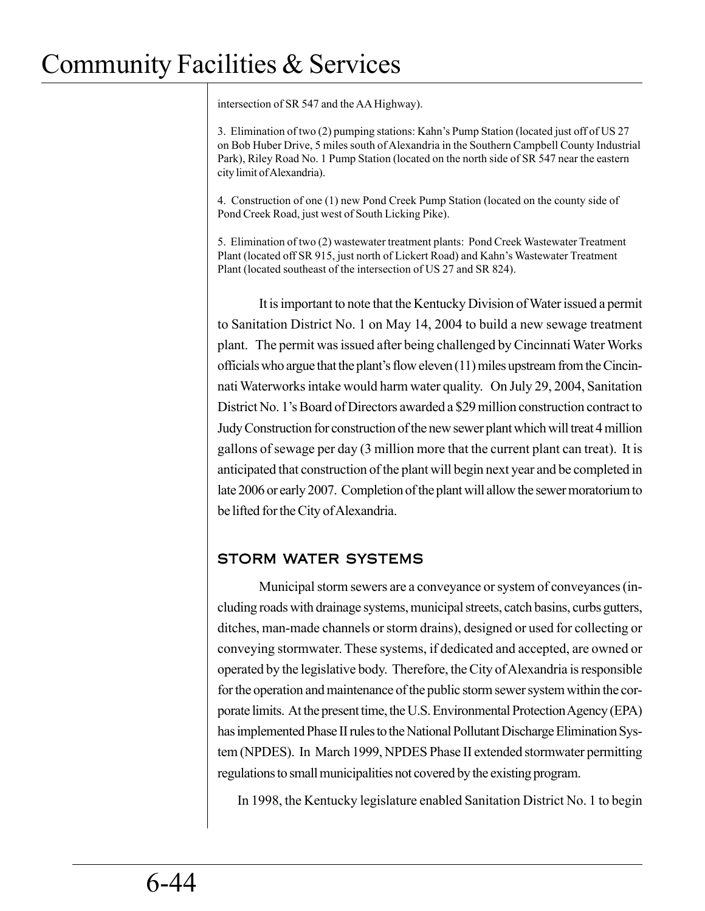intersection of SR 547 and the AA Highway).

3. Elimination of two (2) pumping stations: Kahn's Pump Station (located just off of US 27 on Bob Huber Drive, 5 miles south of Alexandria in the Southern Campbell County Industrial Park), Riley Road No. 1 Pump Station (located on the north side of SR 547 near the eastern city limit of Alexandria).

4. Construction of one (1) new Pond Creek Pump Station (located on the county side of Pond Creek Road, just west of South Licking Pike).

5. Elimination of two (2) wastewater treatment plants: Pond Creek Wastewater Treatment Plant (located off SR 915, just north of Lickert Road) and Kahn's Wastewater Treatment Plant (located southeast of the intersection of US 27 and SR 824).

It is important to note that the Kentucky Division of Water issued a permit to Sanitation District No. 1 on May 14, 2004 to build a new sewage treatment plant. The permit was issued after being challenged by Cincinnati Water Works officials who argue that the plant's flow eleven (11) miles upstream from the Cincinnati Waterworks intake would harm water quality. On July 29, 2004, Sanitation District No. 1's Board of Directors awarded a \$29 million construction contract to Judy Construction for construction of the new sewer plant which will treat 4 million gallons of sewage per day (3 million more that the current plant can treat). It is anticipated that construction of the plant will begin next year and be completed in late 2006 or early 2007. Completion of the plant will allow the sewer moratorium to be lifted for the City of Alexandria.

### STORM WATER SYSTEMS

Municipal storm sewers are a conveyance or system of conveyances (including roads with drainage systems, municipal streets, catch basins, curbs gutters, ditches, man-made channels or storm drains), designed or used for collecting or conveying stormwater. These systems, if dedicated and accepted, are owned or operated by the legislative body. Therefore, the City of Alexandria is responsible for the operation and maintenance of the public storm sewer system within the corporate limits. At the present time, the U.S. Environmental Protection Agency (EPA) has implemented Phase II rules to the National Pollutant Discharge Elimination System (NPDES). In March 1999, NPDES Phase II extended stormwater permitting regulations to small municipalities not covered by the existing program.

In 1998, the Kentucky legislature enabled Sanitation District No. 1 to begin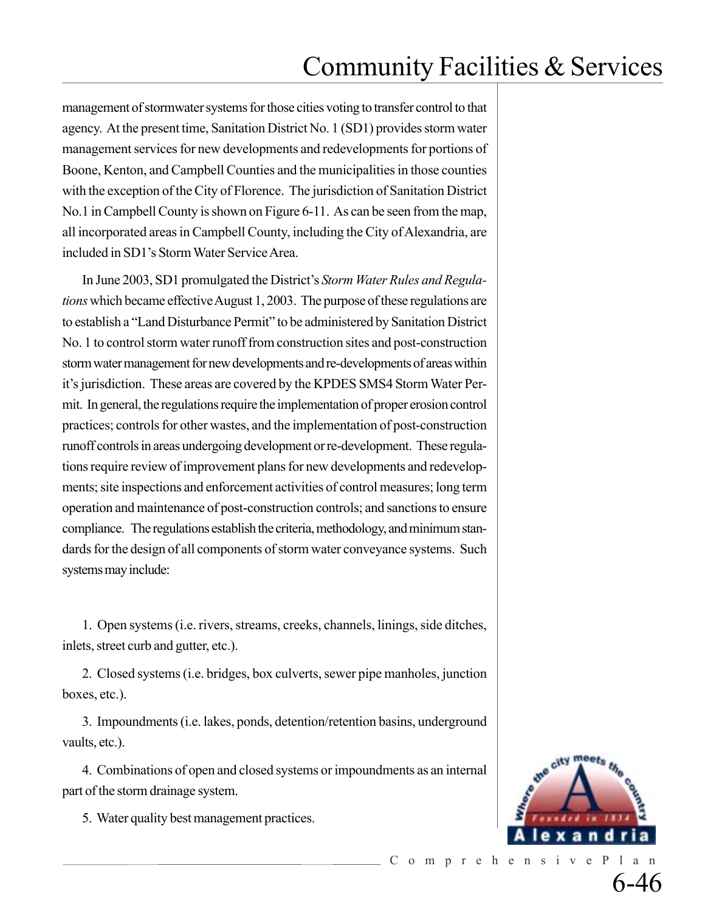management of stormwater systems for those cities voting to transfer control to that agency. At the present time, Sanitation District No. 1 (SD1) provides storm water management services for new developments and redevelopments for portions of Boone, Kenton, and Campbell Counties and the municipalities in those counties with the exception of the City of Florence. The jurisdiction of Sanitation District No.1 in Campbell County is shown on Figure 6-11. As can be seen from the map, all incorporated areas in Campbell County, including the City of Alexandria, are included in SD1's Storm Water Service Area.

In June 2003, SD1 promulgated the District's *Storm Water Rules and Regulations* which became effective August 1, 2003. The purpose of these regulations are to establish a "Land Disturbance Permit" to be administered by Sanitation District No. 1 to control storm water runoff from construction sites and post-construction storm water management for new developments and re-developments of areas within it's jurisdiction. These areas are covered by the KPDES SMS4 Storm Water Permit. In general, the regulations require the implementation of proper erosion control practices; controls for other wastes, and the implementation of post-construction runoff controls in areas undergoing development or re-development. These regulations require review of improvement plans for new developments and redevelopments; site inspections and enforcement activities of control measures; long term operation and maintenance of post-construction controls; and sanctions to ensure compliance. The regulations establish the criteria, methodology, and minimum standards for the design of all components of storm water conveyance systems. Such systems may include:

1. Open systems (i.e. rivers, streams, creeks, channels, linings, side ditches, inlets, street curb and gutter, etc.).

2. Closed systems (i.e. bridges, box culverts, sewer pipe manholes, junction boxes, etc.).

3. Impoundments (i.e. lakes, ponds, detention/retention basins, underground vaults, etc.).

4. Combinations of open and closed systems or impoundments as an internal part of the storm drainage system.

5. Water quality best management practices.

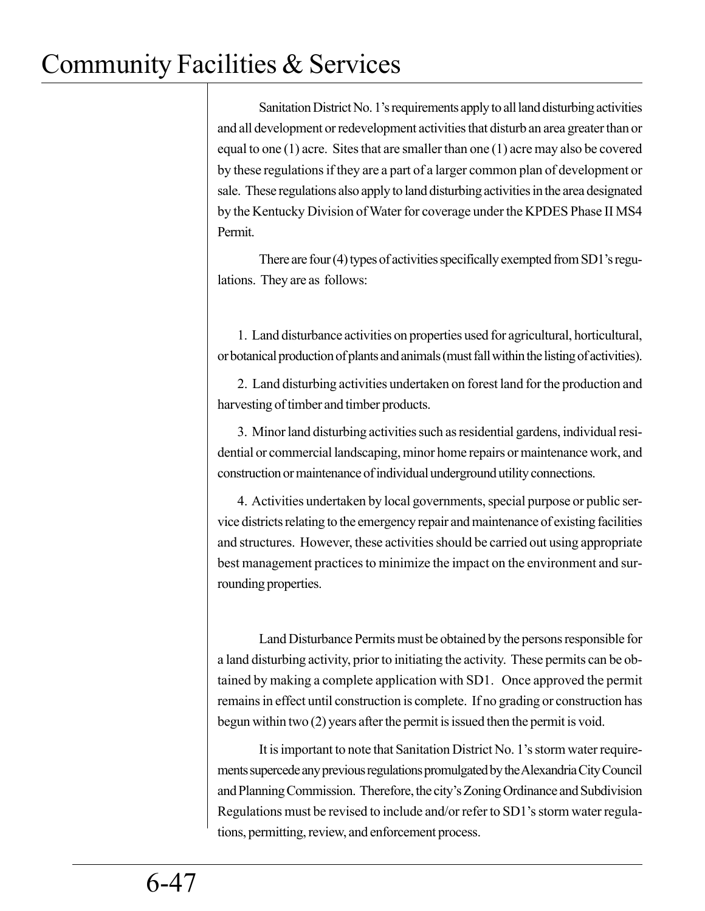Sanitation District No. 1's requirements apply to all land disturbing activities and all development or redevelopment activities that disturb an area greater than or equal to one (1) acre. Sites that are smaller than one (1) acre may also be covered by these regulations if they are a part of a larger common plan of development or sale. These regulations also apply to land disturbing activities in the area designated by the Kentucky Division of Water for coverage under the KPDES Phase II MS4 Permit.

There are four (4) types of activities specifically exempted from SD1's regulations. They are as follows:

1. Land disturbance activities on properties used for agricultural, horticultural, or botanical production of plants and animals (must fall within the listing of activities).

2. Land disturbing activities undertaken on forest land for the production and harvesting of timber and timber products.

3. Minor land disturbing activities such as residential gardens, individual residential or commercial landscaping, minor home repairs or maintenance work, and construction or maintenance of individual underground utility connections.

4. Activities undertaken by local governments, special purpose or public service districts relating to the emergency repair and maintenance of existing facilities and structures. However, these activities should be carried out using appropriate best management practices to minimize the impact on the environment and surrounding properties.

Land Disturbance Permits must be obtained by the persons responsible for a land disturbing activity, prior to initiating the activity. These permits can be obtained by making a complete application with SD1. Once approved the permit remains in effect until construction is complete. If no grading or construction has begun within two (2) years after the permit is issued then the permit is void.

It is important to note that Sanitation District No. 1's storm water requirements supercede any previous regulations promulgated by the Alexandria City Council and Planning Commission. Therefore, the city's Zoning Ordinance and Subdivision Regulations must be revised to include and/or refer to SD1's storm water regulations, permitting, review, and enforcement process.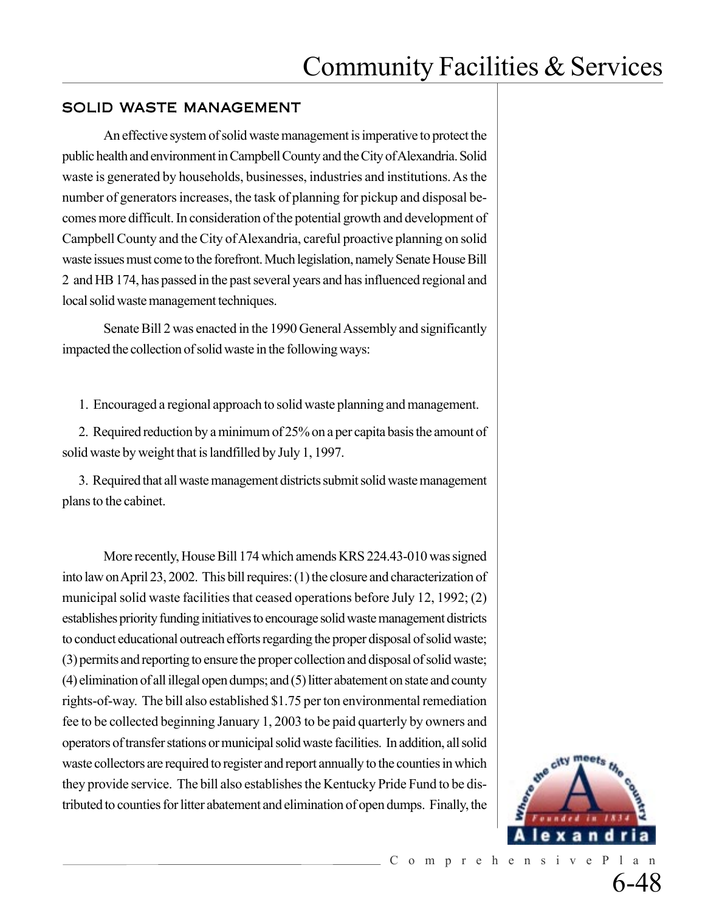### SOLID WASTE MANAGEMENT

An effective system of solid waste management is imperative to protect the public health and environment in Campbell County and the City of Alexandria. Solid waste is generated by households, businesses, industries and institutions. As the number of generators increases, the task of planning for pickup and disposal becomes more difficult. In consideration of the potential growth and development of Campbell County and the City of Alexandria, careful proactive planning on solid waste issues must come to the forefront. Much legislation, namely Senate House Bill 2 and HB 174, has passed in the past several years and has influenced regional and local solid waste management techniques.

Senate Bill 2 was enacted in the 1990 General Assembly and significantly impacted the collection of solid waste in the following ways:

1. Encouraged a regional approach to solid waste planning and management.

2. Required reduction by a minimum of 25% on a per capita basis the amount of solid waste by weight that is landfilled by July 1, 1997.

3. Required that all waste management districts submit solid waste management plans to the cabinet.

More recently, House Bill 174 which amends KRS 224.43-010 was signed into law on April 23, 2002. This bill requires: (1) the closure and characterization of municipal solid waste facilities that ceased operations before July 12, 1992; (2) establishes priority funding initiatives to encourage solid waste management districts to conduct educational outreach efforts regarding the proper disposal of solid waste; (3) permits and reporting to ensure the proper collection and disposal of solid waste; (4) elimination of all illegal open dumps; and (5) litter abatement on state and county rights-of-way. The bill also established \$1.75 per ton environmental remediation fee to be collected beginning January 1, 2003 to be paid quarterly by owners and operators of transfer stations or municipal solid waste facilities. In addition, all solid waste collectors are required to register and report annually to the counties in which they provide service. The bill also establishes the Kentucky Pride Fund to be distributed to counties for litter abatement and elimination of open dumps. Finally, the

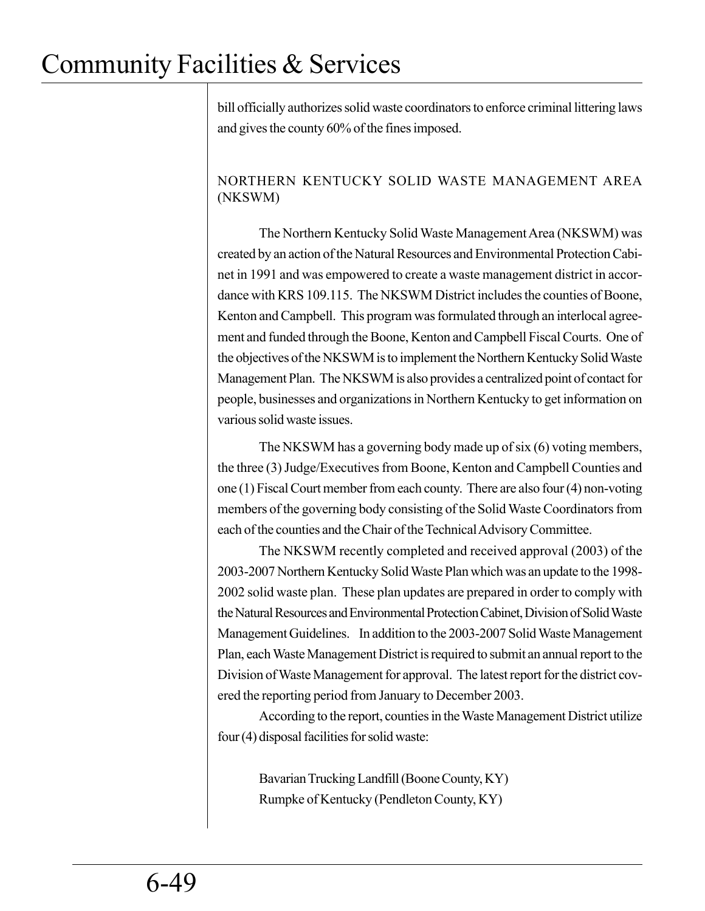bill officially authorizes solid waste coordinators to enforce criminal littering laws and gives the county 60% of the fines imposed.

### NORTHERN KENTUCKY SOLID WASTE MANAGEMENT AREA (NKSWM)

The Northern Kentucky Solid Waste Management Area (NKSWM) was created by an action of the Natural Resources and Environmental Protection Cabinet in 1991 and was empowered to create a waste management district in accordance with KRS 109.115. The NKSWM District includes the counties of Boone, Kenton and Campbell. This program was formulated through an interlocal agreement and funded through the Boone, Kenton and Campbell Fiscal Courts. One of the objectives of the NKSWM is to implement the Northern Kentucky Solid Waste Management Plan. The NKSWM is also provides a centralized point of contact for people, businesses and organizations in Northern Kentucky to get information on various solid waste issues.

The NKSWM has a governing body made up of six (6) voting members, the three (3) Judge/Executives from Boone, Kenton and Campbell Counties and one (1) Fiscal Court member from each county. There are also four (4) non-voting members of the governing body consisting of the Solid Waste Coordinators from each of the counties and the Chair of the Technical Advisory Committee.

The NKSWM recently completed and received approval (2003) of the 2003-2007 Northern Kentucky Solid Waste Plan which was an update to the 1998- 2002 solid waste plan. These plan updates are prepared in order to comply with the Natural Resources and Environmental Protection Cabinet, Division of Solid Waste Management Guidelines. In addition to the 2003-2007 Solid Waste Management Plan, each Waste Management District is required to submit an annual report to the Division of Waste Management for approval. The latest report for the district covered the reporting period from January to December 2003.

According to the report, counties in the Waste Management District utilize four (4) disposal facilities for solid waste:

Bavarian Trucking Landfill (Boone County, KY) Rumpke of Kentucky (Pendleton County, KY)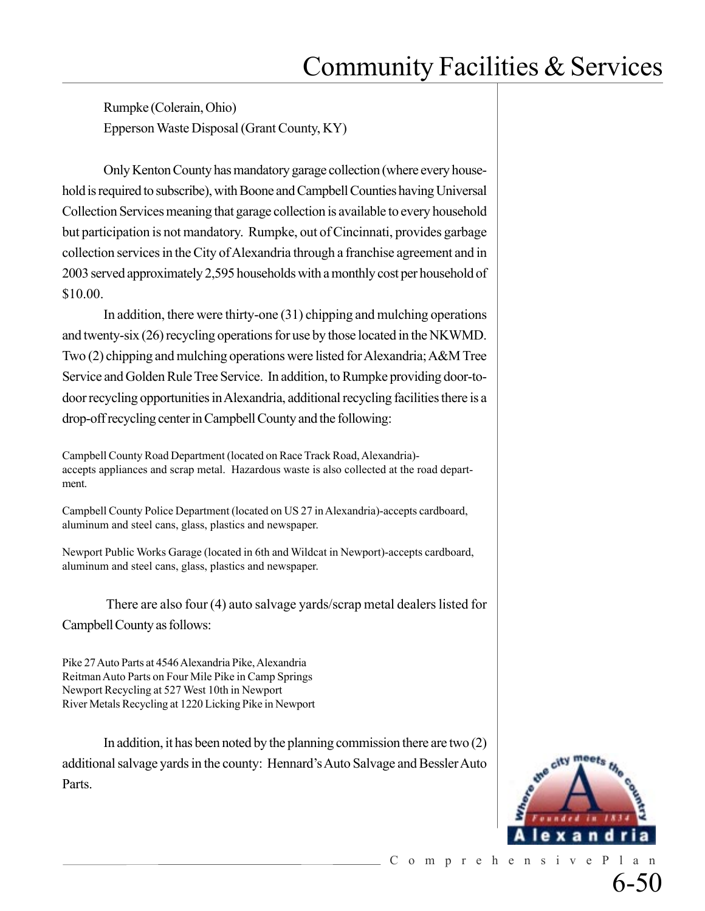Rumpke (Colerain, Ohio) Epperson Waste Disposal (Grant County, KY)

Only Kenton County has mandatory garage collection (where every household is required to subscribe), with Boone and Campbell Counties having Universal Collection Services meaning that garage collection is available to every household but participation is not mandatory. Rumpke, out of Cincinnati, provides garbage collection services in the City of Alexandria through a franchise agreement and in 2003 served approximately 2,595 households with a monthly cost per household of \$10.00.

In addition, there were thirty-one (31) chipping and mulching operations and twenty-six (26) recycling operations for use by those located in the NKWMD. Two (2) chipping and mulching operations were listed for Alexandria; A&M Tree Service and Golden Rule Tree Service. In addition, to Rumpke providing door-todoor recycling opportunities in Alexandria, additional recycling facilities there is a drop-off recycling center in Campbell County and the following:

Campbell County Road Department (located on Race Track Road, Alexandria) accepts appliances and scrap metal. Hazardous waste is also collected at the road department.

Campbell County Police Department (located on US 27 in Alexandria)-accepts cardboard, aluminum and steel cans, glass, plastics and newspaper.

Newport Public Works Garage (located in 6th and Wildcat in Newport)-accepts cardboard, aluminum and steel cans, glass, plastics and newspaper.

 There are also four (4) auto salvage yards/scrap metal dealers listed for Campbell County as follows:

Pike 27 Auto Parts at 4546 Alexandria Pike, Alexandria Reitman Auto Parts on Four Mile Pike in Camp Springs Newport Recycling at 527 West 10th in Newport River Metals Recycling at 1220 Licking Pike in Newport

In addition, it has been noted by the planning commission there are two  $(2)$ additional salvage yards in the county: Hennard's Auto Salvage and Bessler Auto Parts.